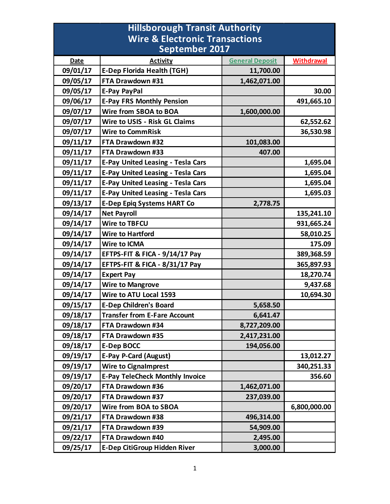| <b>Hillsborough Transit Authority</b>     |                                          |                        |              |  |  |
|-------------------------------------------|------------------------------------------|------------------------|--------------|--|--|
| <b>Wire &amp; Electronic Transactions</b> |                                          |                        |              |  |  |
| <b>September 2017</b>                     |                                          |                        |              |  |  |
| <b>Date</b>                               | <b>Activity</b>                          | <b>General Deposit</b> | Withdrawal   |  |  |
| 09/01/17                                  | <b>E-Dep Florida Health (TGH)</b>        | 11,700.00              |              |  |  |
| 09/05/17                                  | FTA Drawdown #31                         | 1,462,071.00           |              |  |  |
| 09/05/17                                  | <b>E-Pay PayPal</b>                      |                        | 30.00        |  |  |
| 09/06/17                                  | <b>E-Pay FRS Monthly Pension</b>         |                        | 491,665.10   |  |  |
| 09/07/17                                  | Wire from SBOA to BOA                    | 1,600,000.00           |              |  |  |
| 09/07/17                                  | <b>Wire to USIS - Risk GL Claims</b>     |                        | 62,552.62    |  |  |
| 09/07/17                                  | <b>Wire to CommRisk</b>                  |                        | 36,530.98    |  |  |
| 09/11/17                                  | FTA Drawdown #32                         | 101,083.00             |              |  |  |
| 09/11/17                                  | FTA Drawdown #33                         | 407.00                 |              |  |  |
| 09/11/17                                  | <b>E-Pay United Leasing - Tesla Cars</b> |                        | 1,695.04     |  |  |
| 09/11/17                                  | <b>E-Pay United Leasing - Tesla Cars</b> |                        | 1,695.04     |  |  |
| 09/11/17                                  | <b>E-Pay United Leasing - Tesla Cars</b> |                        | 1,695.04     |  |  |
| 09/11/17                                  | <b>E-Pay United Leasing - Tesla Cars</b> |                        | 1,695.03     |  |  |
| 09/13/17                                  | <b>E-Dep Epiq Systems HART Co</b>        | 2,778.75               |              |  |  |
| 09/14/17                                  | <b>Net Payroll</b>                       |                        | 135,241.10   |  |  |
| 09/14/17                                  | <b>Wire to TBFCU</b>                     |                        | 931,665.24   |  |  |
| 09/14/17                                  | <b>Wire to Hartford</b>                  |                        | 58,010.25    |  |  |
| 09/14/17                                  | <b>Wire to ICMA</b>                      |                        | 175.09       |  |  |
| 09/14/17                                  | EFTPS-FIT & FICA - 9/14/17 Pay           |                        | 389,368.59   |  |  |
| 09/14/17                                  | EFTPS-FIT & FICA - 8/31/17 Pay           |                        | 365,897.93   |  |  |
| 09/14/17                                  | <b>Expert Pay</b>                        |                        | 18,270.74    |  |  |
| 09/14/17                                  | <b>Wire to Mangrove</b>                  |                        | 9,437.68     |  |  |
| 09/14/17                                  | Wire to ATU Local 1593                   |                        | 10,694.30    |  |  |
| 09/15/17                                  | <b>E-Dep Children's Board</b>            | 5,658.50               |              |  |  |
| 09/18/17                                  | <b>Transfer from E-Fare Account</b>      | 6,641.47               |              |  |  |
| 09/18/17                                  | FTA Drawdown #34                         | 8,727,209.00           |              |  |  |
| 09/18/17                                  | FTA Drawdown #35                         | 2,417,231.00           |              |  |  |
| 09/18/17                                  | <b>E-Dep BOCC</b>                        | 194,056.00             |              |  |  |
| 09/19/17                                  | <b>E-Pay P-Card (August)</b>             |                        | 13,012.27    |  |  |
| 09/19/17                                  | <b>Wire to Cignalmprest</b>              |                        | 340,251.33   |  |  |
| 09/19/17                                  | <b>E-Pay TeleCheck Monthly Invoice</b>   |                        | 356.60       |  |  |
| 09/20/17                                  | FTA Drawdown #36                         | 1,462,071.00           |              |  |  |
| 09/20/17                                  | FTA Drawdown #37                         | 237,039.00             |              |  |  |
| 09/20/17                                  | Wire from BOA to SBOA                    |                        | 6,800,000.00 |  |  |
| 09/21/17                                  | FTA Drawdown #38                         | 496,314.00             |              |  |  |
| 09/21/17                                  | FTA Drawdown #39                         | 54,909.00              |              |  |  |
| 09/22/17                                  | FTA Drawdown #40                         | 2,495.00               |              |  |  |
| 09/25/17                                  | <b>E-Dep CitiGroup Hidden River</b>      | 3,000.00               |              |  |  |